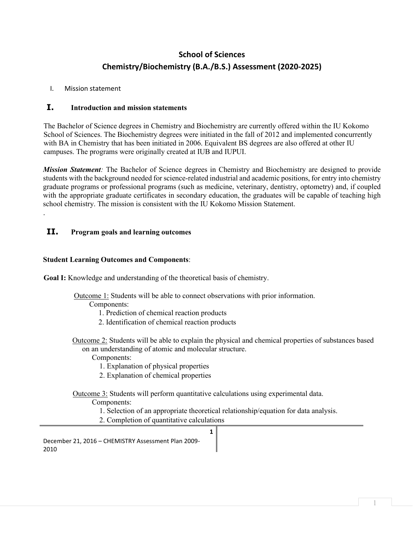# **School of Sciences Chemistry/Biochemistry (B.A./B.S.) Assessment (2020-2025)**

## I. Mission statement

.

# **I. Introduction and mission statements**

The Bachelor of Science degrees in Chemistry and Biochemistry are currently offered within the IU Kokomo School of Sciences. The Biochemistry degrees were initiated in the fall of 2012 and implemented concurrently with BA in Chemistry that has been initiated in 2006. Equivalent BS degrees are also offered at other IU campuses. The programs were originally created at IUB and IUPUI.

*Mission Statement*: The Bachelor of Science degrees in Chemistry and Biochemistry are designed to provide students with the background needed for science-related industrial and academic positions, for entry into chemistry graduate programs or professional programs (such as medicine, veterinary, dentistry, optometry) and, if coupled with the appropriate graduate certificates in secondary education, the graduates will be capable of teaching high school chemistry. The mission is consistent with the IU Kokomo Mission Statement.

## **II. Program goals and learning outcomes**

### **Student Learning Outcomes and Components**:

**Goal I:** Knowledge and understanding of the theoretical basis of chemistry.

Outcome 1: Students will be able to connect observations with prior information.

Components:

1. Prediction of chemical reaction products

- 2. Identification of chemical reaction products
- Outcome 2: Students will be able to explain the physical and chemical properties of substances based on an understanding of atomic and molecular structure.

Components:

1. Explanation of physical properties

2. Explanation of chemical properties

Outcome 3: Students will perform quantitative calculations using experimental data.

Components:

1. Selection of an appropriate theoretical relationship/equation for data analysis.

**1**

2. Completion of quantitative calculations

December 21, 2016 – CHEMISTRY Assessment Plan 2009- 2010